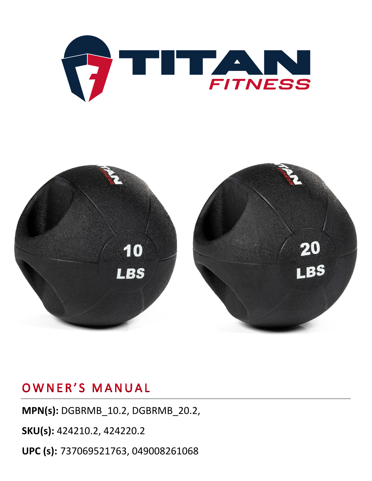



### OWNER'S MANUAL

**MPN(s):** DGBRMB\_10.2, DGBRMB\_20.2,

**SKU(s):** 424210.2, 424220.2

**UPC (s):** 737069521763, 049008261068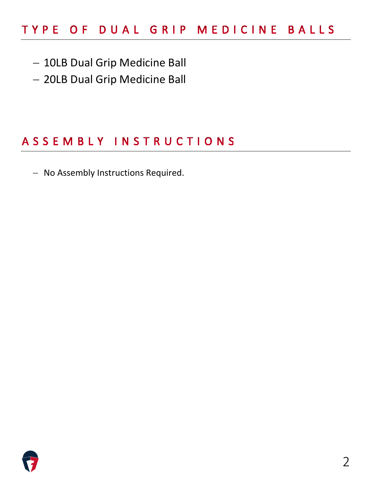## TYPE OF DUAL GRIP MEDICINE BALLS

- − 10LB Dual Grip Medicine Ball
- − 20LB Dual Grip Medicine Ball

#### ASSEMBLY INSTRUCTIONS

− No Assembly Instructions Required.